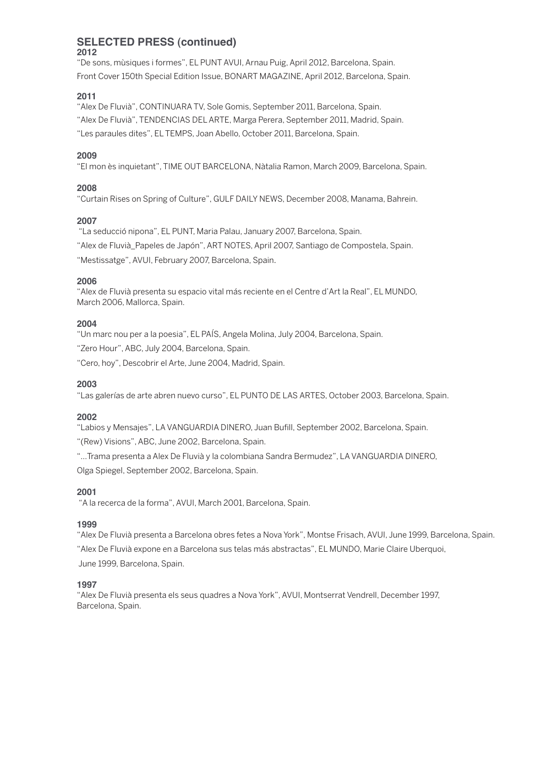#### **SELECTED PRESS (continued) 2012**

"De sons, mùsiques i formes", EL PUNTAVUI,Arnau Puig,April 2012, Barcelona, Spain. Front Cover 150th Special Edition Issue, BONART MAGAZINE, April 2012, Barcelona, Spain.

# **2011**

"Alex De Fluvià", CONTINUARATV, Sole Gomis, September 2011, Barcelona, Spain. "Alex De Fluvià", TENDENCIAS DELARTE, Marga Perera, September 2011, Madrid, Spain. "Les paraules dites", EL TEMPS, Joan Abello, October 2011, Barcelona, Spain.

# **2009**

"El mon ès inquietant", TIME OUT BARCELONA, Nàtalia Ramon, March 2009, Barcelona, Spain.

# **2008**

"Curtain Rises on Spring of Culture", GULF DAILY NEWS, December 2008, Manama, Bahrein.

# **2007**

"La seducció nipona", EL PUNT, Maria Palau, January 2007, Barcelona, Spain. "Alex de Fluvià\_Papeles de Japón",ART NOTES,April 2007, Santiago de Compostela, Spain.

"Mestissatge",AVUI, February 2007, Barcelona, Spain.

#### **2006**

"Alex de Fluvià presenta su espacio vital más reciente en el Centre d'Art la Real", EL MUNDO, March 2006, Mallorca, Spain.

# **2004**

"Un marc nou per a la poesia", EL PAÍS,Angela Molina, July 2004, Barcelona, Spain.

"Zero Hour", ABC, July 2004, Barcelona, Spain.

"Cero, hoy", Descobrir el Arte, June 2004, Madrid, Spain.

#### **2003**

"Las galerías de arte abren nuevo curso", EL PUNTO DE LAS ARTES, October 2003, Barcelona, Spain.

#### **2002**

"Labios y Mensajes", LAVANGUARDIA DINERO, Juan Bufill, September 2002, Barcelona, Spain.

"(Rew) Visions",ABC, June 2002, Barcelona, Spain.

"…Trama presenta a Alex De Fluvià y la colombiana Sandra Bermudez", LAVANGUARDIA DINERO, Olga Spiegel, September 2002, Barcelona, Spain.

# **2001**

"A la recerca de la forma",AVUI, March 2001, Barcelona, Spain.

# **1999**

"Alex De Fluvià presenta a Barcelona obres fetes a Nova York", Montse Frisach,AVUI, June 1999, Barcelona, Spain. "Alex De Fluvià expone en a Barcelona sus telas más abstractas", EL MUNDO, Marie Claire Uberquoi, June 1999, Barcelona, Spain.

#### **1997**

"Alex De Fluvià presenta els seus quadres a Nova York",AVUI, Montserrat Vendrell, December 1997, Barcelona, Spain.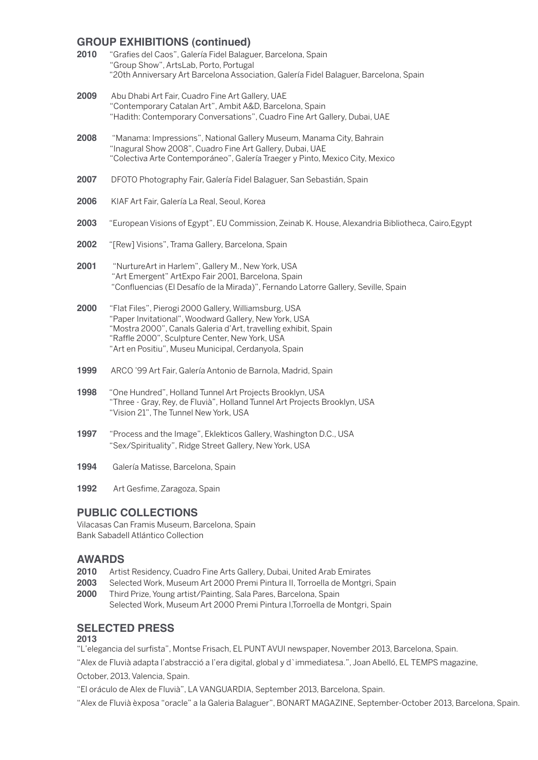# **GROUP EXHIBITIONS (continued)**

| 2010 | "Grafies del Caos", Galería Fidel Balaguer, Barcelona, Spain<br>"Group Show", ArtsLab, Porto, Portugal<br>"20th Anniversary Art Barcelona Association, Galería Fidel Balaguer, Barcelona, Spain                   |
|------|-------------------------------------------------------------------------------------------------------------------------------------------------------------------------------------------------------------------|
| 2009 | Abu Dhabi Art Fair, Cuadro Fine Art Gallery, UAE<br>"Contemporary Catalan Art", Ambit A&D, Barcelona, Spain<br>"Hadith: Contemporary Conversations", Cuadro Fine Art Gallery, Dubai, UAE                          |
| 2008 | "Manama: Impressions", National Gallery Museum, Manama City, Bahrain<br>"Inagural Show 2008", Cuadro Fine Art Gallery, Dubai, UAE<br>"Colectiva Arte Contemporáneo", Galería Traeger y Pinto, Mexico City, Mexico |
| 2007 | DFOTO Photography Fair, Galería Fidel Balaguer, San Sebastián, Spain                                                                                                                                              |
| 2006 | KIAF Art Fair, Galería La Real, Seoul, Korea                                                                                                                                                                      |
| 2003 | "European Visions of Egypt", EU Commission, Zeinab K. House, Alexandria Bibliotheca, Cairo, Egypt                                                                                                                 |
| 2002 | "[Rew] Visions", Trama Gallery, Barcelona, Spain                                                                                                                                                                  |
| 2001 | "NurtureArt in Harlem", Gallery M., New York, USA<br>"Art Emergent" ArtExpo Fair 2001, Barcelona, Spain<br>"Confluencias (El Desafío de la Mirada)", Fernando Latorre Gallery, Seville, Spain                     |
| 2000 | "Flat Files", Pierogi 2000 Gallery, Williamsburg, USA<br>"Paper Invitational", Woodward Gallery, New York, USA<br>"Mostra 2000", Canals Galeria d'Art, travelling exhibit, Spain                                  |

**1994** Galería Matisse, Barcelona, Spain

"Raffle 2000", Sculpture Center, New York, USA "Art en Positiu", Museu Municipal, Cerdanyola, Spain

**1999** ARCO '99 Art Fair, Galería Antonio de Barnola, Madrid, Spain

**1998** "One Hundred", Holland Tunnel Art Projects Brooklyn, USA

**1997** "Process and the Image", Eklekticos Gallery, Washington D.C., USA "Sex/Spirituality", Ridge Street Gallery, New York, USA

"Vision 21", The Tunnel New York, USA

**1992** Art Gesfime, Zaragoza, Spain

# **PUBLIC COLLECTIONS**

Vilacasas Can Framis Museum, Barcelona, Spain Bank Sabadell Atlántico Collection

# **AWARDS**

- **2010** Artist Residency, Cuadro Fine Arts Gallery, Dubai, United Arab Emirates
- **2003** Selected Work, Museum Art 2000 Premi Pintura II, Torroella de Montgri, Spain

"Three - Gray, Rey, de Fluvià", Holland Tunnel Art Projects Brooklyn, USA

**2000** Third Prize, Young artist/Painting, Sala Pares, Barcelona, Spain Selected Work, Museum Art 2000 Premi Pintura I,Torroella de Montgri, Spain

#### **SELECTED PRESS 2013**

"L'elegancia del surfista", Montse Frisach, EL PUNTAVUI newspaper, November 2013, Barcelona, Spain.

"Alex de Fluvià adapta l'abstracció a l'era digital, global y d`immediatesa.", Joan Abelló, EL TEMPS magazine, October, 2013, Valencia, Spain.

"El oráculo de Alex de Fluvià", LAVANGUARDIA, September 2013, Barcelona, Spain.

"Alex de Fluvià èxposa "oracle" a la Galeria Balaguer", BONART MAGAZINE, September-October 2013, Barcelona, Spain.